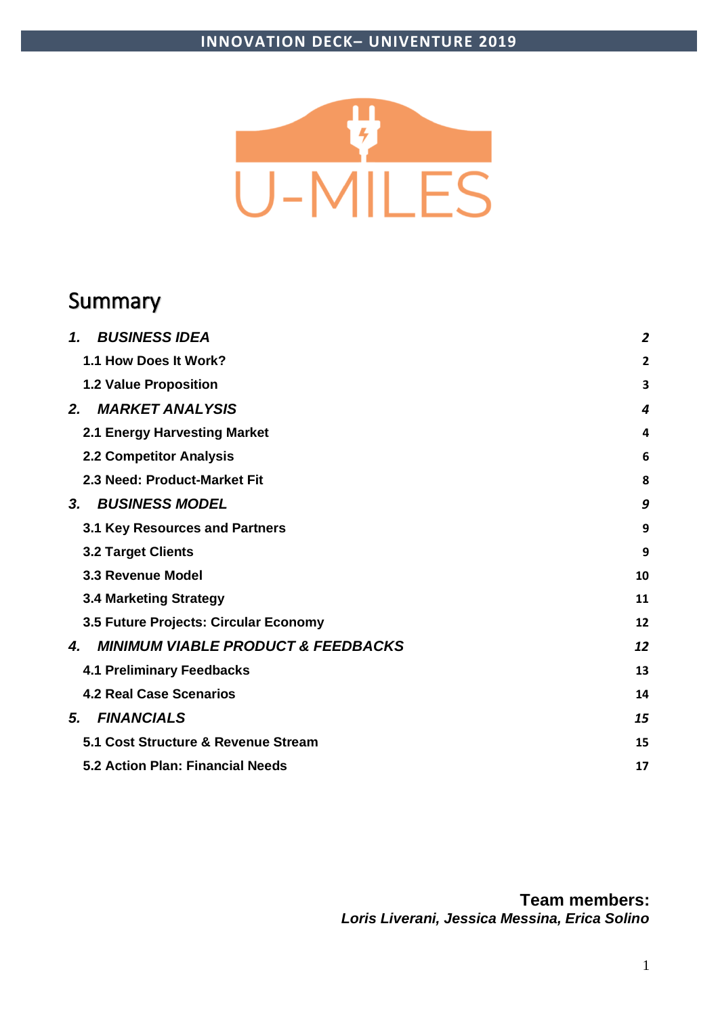

## Summary

| <b>BUSINESS IDEA</b><br>1.                          | $\overline{2}$ |
|-----------------------------------------------------|----------------|
| 1.1 How Does It Work?                               | 2              |
| 1.2 Value Proposition                               | 3              |
| <b>MARKET ANALYSIS</b><br>2.                        | 4              |
| 2.1 Energy Harvesting Market                        | 4              |
| <b>2.2 Competitor Analysis</b>                      | 6              |
| 2.3 Need: Product-Market Fit                        | 8              |
| <b>BUSINESS MODEL</b><br>3.                         | 9              |
| 3.1 Key Resources and Partners                      | 9              |
| <b>3.2 Target Clients</b>                           | 9              |
| 3.3 Revenue Model                                   | 10             |
| <b>3.4 Marketing Strategy</b>                       | 11             |
| 3.5 Future Projects: Circular Economy               | 12             |
| <b>MINIMUM VIABLE PRODUCT &amp; FEEDBACKS</b><br>4. | 12             |
| <b>4.1 Preliminary Feedbacks</b>                    | 13             |
| <b>4.2 Real Case Scenarios</b>                      | 14             |
| <b>FINANCIALS</b><br>5.                             | 15             |
| 5.1 Cost Structure & Revenue Stream                 | 15             |
| 5.2 Action Plan: Financial Needs                    | 17             |